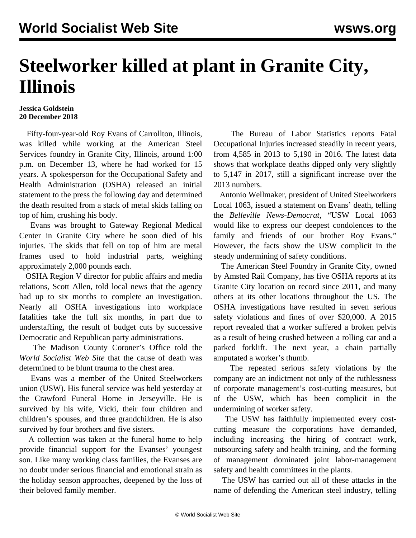## **Steelworker killed at plant in Granite City, Illinois**

## **Jessica Goldstein 20 December 2018**

 Fifty-four-year-old Roy Evans of Carrollton, Illinois, was killed while working at the American Steel Services foundry in Granite City, Illinois, around 1:00 p.m. on December 13, where he had worked for 15 years. A spokesperson for the Occupational Safety and Health Administration (OSHA) released an initial statement to the press the following day and determined the death resulted from a stack of metal skids falling on top of him, crushing his body.

 Evans was brought to Gateway Regional Medical Center in Granite City where he soon died of his injuries. The skids that fell on top of him are metal frames used to hold industrial parts, weighing approximately 2,000 pounds each.

 OSHA Region V director for public affairs and media relations, Scott Allen, told local news that the agency had up to six months to complete an investigation. Nearly all OSHA investigations into workplace fatalities take the full six months, in part due to understaffing, the result of budget cuts by successive Democratic and Republican party administrations.

 The Madison County Coroner's Office told the *World Socialist Web Site* that the cause of death was determined to be blunt trauma to the chest area.

 Evans was a member of the United Steelworkers union (USW). His funeral service was held yesterday at the Crawford Funeral Home in Jerseyville. He is survived by his wife, Vicki, their four children and children's spouses, and three grandchildren. He is also survived by four brothers and five sisters.

 A collection was taken at the funeral home to help provide financial support for the Evanses' youngest son. Like many working class families, the Evanses are no doubt under serious financial and emotional strain as the holiday season approaches, deepened by the loss of their beloved family member.

 The Bureau of Labor Statistics reports Fatal Occupational Injuries increased steadily in recent years, from 4,585 in 2013 to 5,190 in 2016. The latest data shows that workplace deaths dipped only very slightly to 5,147 in 2017, still a significant increase over the 2013 numbers.

 Antonio Wellmaker, president of United Steelworkers Local 1063, issued a statement on Evans' death, telling the *Belleville News-Democrat*, "USW Local 1063 would like to express our deepest condolences to the family and friends of our brother Roy Evans." However, the facts show the USW complicit in the steady undermining of safety conditions.

 The American Steel Foundry in Granite City, owned by Amsted Rail Company, has five OSHA reports at its Granite City location on record since 2011, and many others at its other locations throughout the US. The OSHA investigations have resulted in seven serious safety violations and fines of over \$20,000. A 2015 report revealed that a worker suffered a broken pelvis as a result of being crushed between a rolling car and a parked forklift. The next year, a chain partially amputated a worker's thumb.

 The repeated serious safety violations by the company are an indictment not only of the ruthlessness of corporate management's cost-cutting measures, but of the USW, which has been complicit in the undermining of worker safety.

 The USW has faithfully implemented every costcutting measure the corporations have demanded, including increasing the hiring of contract work, outsourcing safety and health training, and the forming of management dominated joint labor-management safety and health committees in the plants.

 The USW has carried out all of these attacks in the name of defending the American steel industry, telling